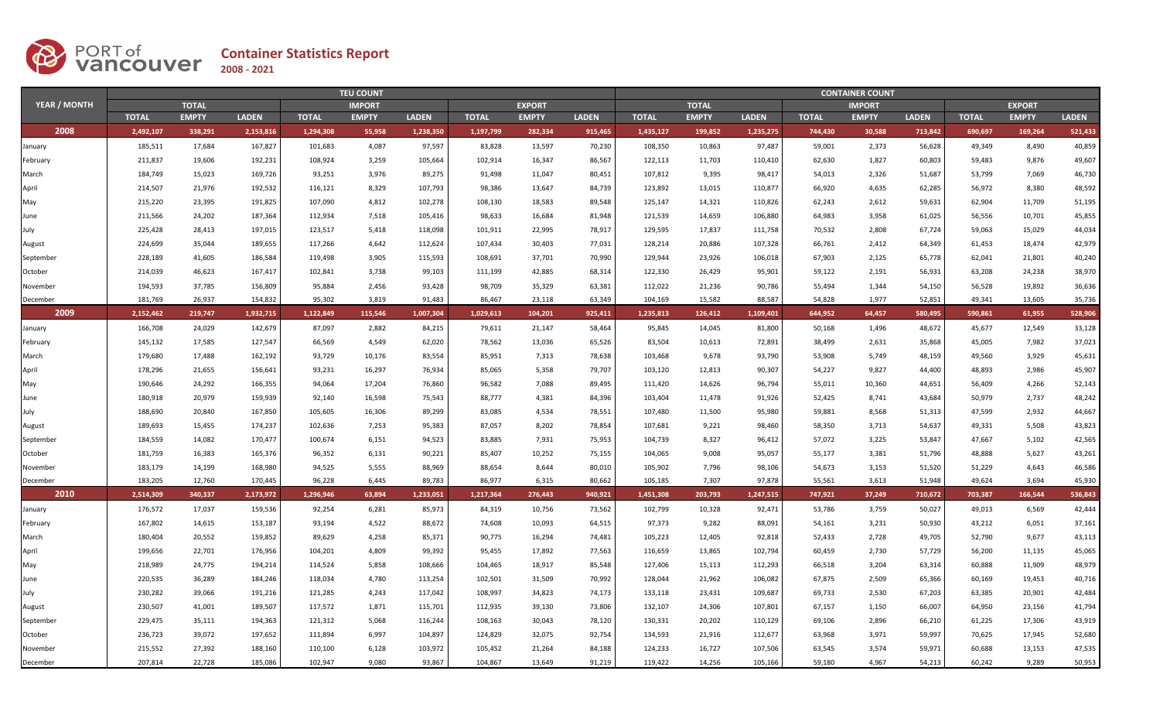

|              |              | <b>TEU COUNT</b> |              |              |               |              |              |               |              |              |              | <b>CONTAINER COUNT</b> |              |               |              |              |               |              |  |  |  |
|--------------|--------------|------------------|--------------|--------------|---------------|--------------|--------------|---------------|--------------|--------------|--------------|------------------------|--------------|---------------|--------------|--------------|---------------|--------------|--|--|--|
| YEAR / MONTH |              | <b>TOTAL</b>     |              |              | <b>IMPORT</b> |              |              | <b>EXPORT</b> |              |              | <b>TOTAL</b> |                        |              | <b>IMPORT</b> |              |              | <b>EXPORT</b> |              |  |  |  |
|              | <b>TOTAL</b> | <b>EMPTY</b>     | <b>LADEN</b> | <b>TOTAL</b> | <b>EMPTY</b>  | <b>LADEN</b> | <b>TOTAL</b> | <b>EMPTY</b>  | <b>LADEN</b> | <b>TOTAL</b> | <b>EMPTY</b> | <b>LADEN</b>           | <b>TOTAL</b> | <b>EMPTY</b>  | <b>LADEN</b> | <b>TOTAL</b> | <b>EMPTY</b>  | <b>LADEN</b> |  |  |  |
| 2008         | 2,492,107    | 338,291          | 2,153,816    | 1,294,308    | 55,958        | 1,238,350    | 1,197,799    | 282,334       | 915,465      | 1,435,127    | 199,852      | 1,235,275              | 744,430      | 30,588        | 713,842      | 690,697      | 169,264       | 521,433      |  |  |  |
| January      | 185,511      | 17,684           | 167,827      | 101,683      | 4,087         | 97,597       | 83,828       | 13,597        | 70,230       | 108,350      | 10,863       | 97,487                 | 59,001       | 2,373         | 56,628       | 49,349       | 8,490         | 40,859       |  |  |  |
| February     | 211,837      | 19,606           | 192,231      | 108,924      | 3,259         | 105,664      | 102,914      | 16,347        | 86,567       | 122,113      | 11,703       | 110,410                | 62,630       | 1,827         | 60,803       | 59,483       | 9,876         | 49,607       |  |  |  |
| March        | 184,749      | 15,023           | 169,726      | 93,251       | 3,976         | 89,275       | 91,498       | 11,047        | 80,451       | 107,812      | 9,395        | 98,417                 | 54,013       | 2,326         | 51,687       | 53,799       | 7,069         | 46,730       |  |  |  |
| April        | 214,507      | 21,976           | 192,532      | 116,121      | 8,329         | 107,793      | 98,386       | 13,647        | 84,739       | 123,892      | 13,015       | 110,877                | 66,920       | 4,635         | 62,285       | 56,972       | 8,380         | 48,592       |  |  |  |
| May          | 215,220      | 23,395           | 191,825      | 107,090      | 4,812         | 102,278      | 108,130      | 18,583        | 89,548       | 125,147      | 14,321       | 110,826                | 62,243       | 2,612         | 59,631       | 62,904       | 11,709        | 51,195       |  |  |  |
| June         | 211,566      | 24,202           | 187,364      | 112,934      | 7,518         | 105,416      | 98,633       | 16,684        | 81,948       | 121,539      | 14,659       | 106,880                | 64,983       | 3,958         | 61,025       | 56,556       | 10,701        | 45,855       |  |  |  |
| July         | 225,428      | 28,413           | 197,015      | 123,517      | 5,418         | 118,098      | 101,911      | 22,995        | 78,917       | 129,595      | 17,837       | 111,758                | 70,532       | 2,808         | 67,724       | 59,063       | 15,029        | 44,034       |  |  |  |
| August       | 224,699      | 35,044           | 189,655      | 117,266      | 4,642         | 112,624      | 107,434      | 30,403        | 77,031       | 128,214      | 20,886       | 107,328                | 66,761       | 2,412         | 64,349       | 61,453       | 18,474        | 42,979       |  |  |  |
| September    | 228,189      | 41,605           | 186,584      | 119,498      | 3,905         | 115,593      | 108,691      | 37,701        | 70,990       | 129,944      | 23,926       | 106,018                | 67,903       | 2,125         | 65,778       | 62,041       | 21,801        | 40,240       |  |  |  |
| October      | 214,039      | 46,623           | 167,417      | 102,841      | 3,738         | 99,103       | 111,199      | 42,885        | 68,314       | 122,330      | 26,429       | 95,901                 | 59,122       | 2,191         | 56,931       | 63,208       | 24,238        | 38,970       |  |  |  |
| November     | 194,593      | 37,785           | 156,809      | 95,884       | 2,456         | 93,428       | 98,709       | 35,329        | 63,381       | 112,022      | 21,236       | 90,786                 | 55,494       | 1,344         | 54,150       | 56,528       | 19,892        | 36,636       |  |  |  |
| December     | 181,769      | 26,937           | 154,832      | 95,302       | 3,819         | 91,483       | 86,467       | 23,118        | 63,349       | 104,169      | 15,582       | 88,587                 | 54,828       | 1,977         | 52,851       | 49,341       | 13,605        | 35,736       |  |  |  |
| 2009         | 2,152,462    | 219.747          | 1.932.715    | 1.122.849    | 115.546       | 1,007,304    | 1.029.613    | 104.201       | 925.411      | 1.235.813    | 126.412      | 1.109.401              | 644.952      | 64.457        | 580.495      | 590.861      | 61,955        | 528,906      |  |  |  |
| January      | 166,708      | 24,029           | 142,679      | 87,097       | 2,882         | 84,215       | 79,611       | 21,147        | 58,464       | 95,845       | 14,045       | 81,800                 | 50,168       | 1,496         | 48,672       | 45,677       | 12,549        | 33,128       |  |  |  |
| February     | 145,132      | 17,585           | 127,547      | 66,569       | 4,549         | 62,020       | 78,562       | 13,036        | 65,526       | 83,504       | 10,613       | 72,891                 | 38,499       | 2,631         | 35,868       | 45,005       | 7,982         | 37,023       |  |  |  |
| March        | 179,680      | 17,488           | 162,192      | 93,729       | 10,176        | 83,554       | 85,951       | 7,313         | 78,638       | 103,468      | 9,678        | 93,790                 | 53,908       | 5,749         | 48,159       | 49,560       | 3,929         | 45,631       |  |  |  |
| April        | 178,296      | 21,655           | 156,641      | 93,231       | 16,297        | 76,934       | 85,065       | 5,358         | 79,707       | 103,120      | 12,813       | 90,307                 | 54,227       | 9,827         | 44,400       | 48,893       | 2,986         | 45,907       |  |  |  |
| May          | 190,646      | 24,292           | 166,355      | 94,064       | 17,204        | 76,860       | 96,582       | 7,088         | 89,495       | 111,420      | 14,626       | 96,794                 | 55,011       | 10,360        | 44,651       | 56,409       | 4,266         | 52,143       |  |  |  |
| June         | 180,918      | 20,979           | 159,939      | 92,140       | 16,598        | 75,543       | 88,777       | 4,381         | 84,396       | 103,404      | 11,478       | 91,926                 | 52,425       | 8,741         | 43,684       | 50,979       | 2,737         | 48,242       |  |  |  |
| July         | 188,690      | 20,840           | 167,850      | 105,605      | 16,306        | 89,299       | 83,085       | 4,534         | 78,551       | 107,480      | 11,500       | 95,980                 | 59,881       | 8,568         | 51,313       | 47,599       | 2,932         | 44,667       |  |  |  |
| August       | 189,693      | 15,455           | 174,237      | 102,636      | 7,253         | 95,383       | 87,057       | 8,202         | 78,854       | 107,681      | 9,221        | 98,460                 | 58,350       | 3,713         | 54,637       | 49,331       | 5,508         | 43,823       |  |  |  |
| September    | 184,559      | 14,082           | 170,477      | 100,674      | 6,151         | 94,523       | 83,885       | 7,931         | 75,953       | 104,739      | 8,327        | 96,412                 | 57,072       | 3,225         | 53,847       | 47,667       | 5,102         | 42,565       |  |  |  |
| October      | 181,759      | 16,383           | 165,376      | 96,352       | 6,131         | 90,221       | 85,407       | 10,252        | 75,155       | 104,065      | 9,008        | 95,057                 | 55,177       | 3,381         | 51,796       | 48,888       | 5,627         | 43,261       |  |  |  |
| November     | 183,179      | 14,199           | 168,980      | 94,525       | 5,555         | 88,969       | 88,654       | 8,644         | 80,010       | 105,902      | 7,796        | 98,106                 | 54,673       | 3,153         | 51,520       | 51,229       | 4,643         | 46,586       |  |  |  |
| December     | 183,205      | 12,760           | 170,445      | 96,228       | 6,445         | 89,783       | 86,977       | 6,315         | 80,662       | 105,185      | 7,307        | 97,878                 | 55,561       | 3,613         | 51,948       | 49,624       | 3,694         | 45,930       |  |  |  |
| 2010         | 2,514,309    | 340,337          | 2,173,972    | 1,296,946    | 63,894        | 1,233,051    | 1,217,364    | 276,443       | 940,921      | 1,451,308    | 203,793      | 1,247,515              | 747,921      | 37,249        | 710,672      | 703,387      | 166,544       | 536,843      |  |  |  |
| January      | 176,572      | 17,037           | 159,536      | 92,254       | 6,281         | 85,973       | 84,319       | 10,756        | 73,562       | 102,799      | 10,328       | 92,471                 | 53,786       | 3,759         | 50,027       | 49,013       | 6,569         | 42,444       |  |  |  |
| February     | 167,802      | 14,615           | 153,187      | 93,194       | 4,522         | 88,672       | 74,608       | 10,093        | 64,515       | 97,373       | 9,282        | 88,091                 | 54,161       | 3,231         | 50,930       | 43,212       | 6,051         | 37,161       |  |  |  |
| March        | 180,404      | 20,552           | 159,852      | 89,629       | 4,258         | 85,371       | 90,775       | 16,294        | 74,481       | 105,223      | 12,405       | 92,818                 | 52,433       | 2,728         | 49,705       | 52,790       | 9,677         | 43,113       |  |  |  |
| April        | 199,656      | 22,701           | 176,956      | 104,201      | 4,809         | 99,392       | 95,455       | 17,892        | 77,563       | 116,659      | 13,865       | 102,794                | 60,459       | 2,730         | 57,729       | 56,200       | 11,135        | 45,065       |  |  |  |
| May          | 218,989      | 24,775           | 194,214      | 114,524      | 5,858         | 108,666      | 104,465      | 18,917        | 85,548       | 127,406      | 15,113       | 112,293                | 66,518       | 3,204         | 63,314       | 60,888       | 11,909        | 48,979       |  |  |  |
| June         | 220,535      | 36,289           | 184,246      | 118,034      | 4,780         | 113,254      | 102,501      | 31,509        | 70,992       | 128,044      | 21,962       | 106,082                | 67,875       | 2,509         | 65,366       | 60,169       | 19,453        | 40,716       |  |  |  |
| July         | 230,282      | 39,066           | 191,216      | 121,285      | 4,243         | 117,042      | 108,997      | 34,823        | 74,173       | 133,118      | 23,431       | 109,687                | 69,733       | 2,530         | 67,203       | 63,385       | 20,901        | 42,484       |  |  |  |
| August       | 230,507      | 41,001           | 189,507      | 117,572      | 1,871         | 115,701      | 112,935      | 39,130        | 73,806       | 132,107      | 24,306       | 107,801                | 67,157       | 1,150         | 66,007       | 64,950       | 23,156        | 41,794       |  |  |  |
| September    | 229,475      | 35,111           | 194,363      | 121,312      | 5,068         | 116,244      | 108,163      | 30,043        | 78,120       | 130,331      | 20,202       | 110,129                | 69,106       | 2,896         | 66,210       | 61,225       | 17,306        | 43,919       |  |  |  |
| October      | 236,723      | 39,072           | 197,652      | 111,894      | 6,997         | 104,897      | 124,829      | 32,075        | 92,754       | 134,593      | 21,916       | 112,677                | 63,968       | 3,971         | 59,997       | 70,625       | 17,945        | 52,680       |  |  |  |
| November     | 215,552      | 27,392           | 188,160      | 110,100      | 6,128         | 103,972      | 105,452      | 21,264        | 84,188       | 124,233      | 16,727       | 107,506                | 63,545       | 3,574         | 59,971       | 60,688       | 13,153        | 47,535       |  |  |  |
| December     | 207,814      | 22,728           | 185,086      | 102,947      | 9,080         | 93,867       | 104,867      | 13,649        | 91,219       | 119,422      | 14,256       | 105,166                | 59,180       | 4.967         | 54.213       | 60,242       | 9,289         | 50,953       |  |  |  |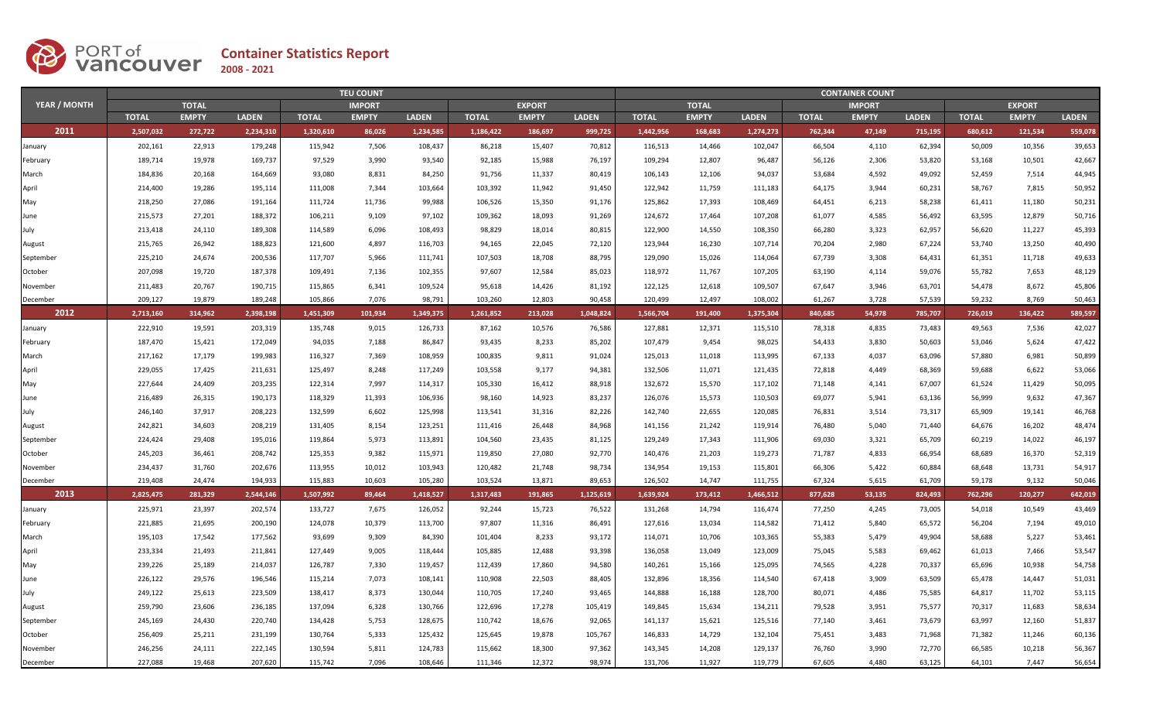

|                     |              | <b>TEU COUNT</b> |              |              |               |              |              |               |              |              |              | <b>CONTAINER COUNT</b> |              |               |              |              |               |              |  |  |  |
|---------------------|--------------|------------------|--------------|--------------|---------------|--------------|--------------|---------------|--------------|--------------|--------------|------------------------|--------------|---------------|--------------|--------------|---------------|--------------|--|--|--|
| <b>YEAR / MONTH</b> |              | <b>TOTAL</b>     |              |              | <b>IMPORT</b> |              |              | <b>EXPORT</b> |              |              | <b>TOTAL</b> |                        |              | <b>IMPORT</b> |              |              | <b>EXPORT</b> |              |  |  |  |
|                     | <b>TOTAL</b> | <b>EMPTY</b>     | <b>LADEN</b> | <b>TOTAL</b> | <b>EMPTY</b>  | <b>LADEN</b> | <b>TOTAL</b> | <b>EMPTY</b>  | <b>LADEN</b> | <b>TOTAL</b> | <b>EMPTY</b> | <b>LADEN</b>           | <b>TOTAL</b> | <b>EMPTY</b>  | <b>LADEN</b> | <b>TOTAL</b> | <b>EMPTY</b>  | <b>LADEN</b> |  |  |  |
| 2011                | 2,507,032    | 272,722          | 2,234,310    | 1,320,610    | 86,026        | 1,234,585    | 1,186,422    | 186,697       | 999,725      | 1,442,956    | 168,683      | 1,274,273              | 762,344      | 47,149        | 715,195      | 680,612      | 121,534       | 559,078      |  |  |  |
| January             | 202,161      | 22,913           | 179,248      | 115,942      | 7,506         | 108,437      | 86,218       | 15,407        | 70,812       | 116,513      | 14,466       | 102,047                | 66,504       | 4,110         | 62,394       | 50,009       | 10,356        | 39,653       |  |  |  |
| February            | 189,714      | 19,978           | 169,737      | 97,529       | 3,990         | 93,540       | 92,185       | 15,988        | 76,197       | 109,294      | 12,807       | 96,487                 | 56,126       | 2,306         | 53,820       | 53,168       | 10,501        | 42,667       |  |  |  |
| March               | 184,836      | 20,168           | 164,669      | 93,080       | 8,831         | 84,250       | 91,756       | 11,337        | 80,419       | 106,143      | 12,106       | 94,037                 | 53,684       | 4,592         | 49,092       | 52,459       | 7,514         | 44,945       |  |  |  |
| April               | 214,400      | 19,286           | 195,114      | 111,008      | 7,344         | 103,664      | 103,392      | 11,942        | 91,450       | 122,942      | 11,759       | 111,183                | 64,175       | 3,944         | 60,231       | 58,767       | 7,815         | 50,952       |  |  |  |
| May                 | 218,250      | 27,086           | 191,164      | 111,724      | 11,736        | 99,988       | 106,526      | 15,350        | 91,176       | 125,862      | 17,393       | 108,469                | 64,451       | 6,213         | 58,238       | 61,411       | 11,180        | 50,231       |  |  |  |
| June                | 215,573      | 27,201           | 188,372      | 106,211      | 9,109         | 97,102       | 109,362      | 18,093        | 91,269       | 124,672      | 17,464       | 107,208                | 61,077       | 4,585         | 56,492       | 63,595       | 12,879        | 50,716       |  |  |  |
| July                | 213,418      | 24,110           | 189,308      | 114,589      | 6,096         | 108,493      | 98,829       | 18,014        | 80,815       | 122,900      | 14,550       | 108,350                | 66,280       | 3,323         | 62,957       | 56,620       | 11,227        | 45,393       |  |  |  |
| August              | 215,765      | 26,942           | 188,823      | 121,600      | 4,897         | 116,703      | 94,165       | 22,045        | 72,120       | 123,944      | 16,230       | 107,714                | 70,204       | 2,980         | 67,224       | 53,740       | 13,250        | 40,490       |  |  |  |
| September           | 225,210      | 24,674           | 200,536      | 117,707      | 5,966         | 111,741      | 107,503      | 18,708        | 88,795       | 129,090      | 15,026       | 114,064                | 67,739       | 3,308         | 64,431       | 61,351       | 11,718        | 49,633       |  |  |  |
| October             | 207,098      | 19,720           | 187,378      | 109,491      | 7,136         | 102,355      | 97,607       | 12,584        | 85,023       | 118,972      | 11,767       | 107,205                | 63,190       | 4,114         | 59,076       | 55,782       | 7,653         | 48,129       |  |  |  |
| November            | 211,483      | 20,767           | 190,715      | 115,865      | 6,341         | 109,524      | 95,618       | 14,426        | 81,192       | 122,125      | 12,618       | 109,507                | 67,647       | 3,946         | 63,701       | 54,478       | 8,672         | 45,806       |  |  |  |
| December            | 209,127      | 19,879           | 189,248      | 105,866      | 7,076         | 98,791       | 103,260      | 12,803        | 90,458       | 120,499      | 12,497       | 108,002                | 61,267       | 3,728         | 57,539       | 59,232       | 8,769         | 50,463       |  |  |  |
| 2012                | 2,713,160    | 314,962          | 2.398.198    | 1.451.309    | 101.934       | 1,349,375    | 1,261,852    | 213,028       | 1.048.824    | 1,566,704    | 191,400      | 1,375,304              | 840.685      | 54,978        | 785,707      | 726,019      | 136,422       | 589,597      |  |  |  |
| January             | 222,910      | 19,591           | 203,319      | 135,748      | 9,015         | 126,733      | 87,162       | 10,576        | 76,586       | 127,881      | 12,371       | 115,510                | 78,318       | 4,835         | 73,483       | 49,563       | 7,536         | 42,027       |  |  |  |
| February            | 187,470      | 15,421           | 172,049      | 94,035       | 7,188         | 86,847       | 93,435       | 8,233         | 85,202       | 107,479      | 9,454        | 98,025                 | 54,433       | 3,830         | 50,603       | 53,046       | 5,624         | 47,422       |  |  |  |
| March               | 217,162      | 17,179           | 199,983      | 116,327      | 7,369         | 108,959      | 100,835      | 9,811         | 91,024       | 125,013      | 11,018       | 113,995                | 67,133       | 4,037         | 63,096       | 57,880       | 6,981         | 50,899       |  |  |  |
| April               | 229,055      | 17,425           | 211,631      | 125,497      | 8,248         | 117,249      | 103,558      | 9,177         | 94,381       | 132,506      | 11,071       | 121,435                | 72,818       | 4,449         | 68,369       | 59,688       | 6,622         | 53,066       |  |  |  |
| May                 | 227,644      | 24,409           | 203,235      | 122,314      | 7,997         | 114,317      | 105,330      | 16,412        | 88,918       | 132,672      | 15,570       | 117,102                | 71,148       | 4,141         | 67,007       | 61,524       | 11,429        | 50,095       |  |  |  |
| June                | 216,489      | 26,315           | 190,173      | 118,329      | 11,393        | 106,936      | 98,160       | 14,923        | 83,237       | 126,076      | 15,573       | 110,503                | 69,077       | 5,941         | 63,136       | 56,999       | 9,632         | 47,367       |  |  |  |
| July                | 246,140      | 37,917           | 208,223      | 132,599      | 6,602         | 125,998      | 113,541      | 31,316        | 82,226       | 142,740      | 22,655       | 120,085                | 76,831       | 3,514         | 73,317       | 65,909       | 19,141        | 46,768       |  |  |  |
| August              | 242,821      | 34,603           | 208,219      | 131,405      | 8,154         | 123,251      | 111,416      | 26,448        | 84,968       | 141,156      | 21,242       | 119,914                | 76,480       | 5,040         | 71,440       | 64,676       | 16,202        | 48,474       |  |  |  |
| September           | 224,424      | 29,408           | 195,016      | 119,864      | 5,973         | 113,891      | 104,560      | 23,435        | 81,125       | 129,249      | 17,343       | 111,906                | 69,030       | 3,321         | 65,709       | 60,219       | 14,022        | 46,197       |  |  |  |
| October             | 245,203      | 36,461           | 208,742      | 125,353      | 9,382         | 115,971      | 119,850      | 27,080        | 92,770       | 140,476      | 21,203       | 119,273                | 71,787       | 4,833         | 66,954       | 68,689       | 16,370        | 52,319       |  |  |  |
| November            | 234,437      | 31,760           | 202,676      | 113,955      | 10,012        | 103,943      | 120,482      | 21,748        | 98,734       | 134,954      | 19,153       | 115,801                | 66,306       | 5,422         | 60,884       | 68,648       | 13,731        | 54,917       |  |  |  |
| December            | 219,408      | 24,474           | 194,933      | 115,883      | 10,603        | 105,280      | 103,524      | 13,871        | 89,653       | 126,502      | 14,747       | 111,755                | 67,324       | 5,615         | 61,709       | 59,178       | 9,132         | 50,046       |  |  |  |
| 2013                | 2,825,475    | 281,329          | 2,544,146    | 1,507,992    | 89,464        | 1,418,527    | 1,317,483    | 191,865       | 1,125,619    | 1,639,924    | 173,412      | 1,466,512              | 877,628      | 53,135        | 824,493      | 762,296      | 120,277       | 642,019      |  |  |  |
| January             | 225,971      | 23,397           | 202,574      | 133,727      | 7,675         | 126,052      | 92,244       | 15,723        | 76,522       | 131,268      | 14,794       | 116,474                | 77,250       | 4,245         | 73,005       | 54,018       | 10,549        | 43,469       |  |  |  |
| February            | 221,885      | 21,695           | 200,190      | 124,078      | 10,379        | 113,700      | 97,807       | 11,316        | 86,491       | 127,616      | 13,034       | 114,582                | 71,412       | 5,840         | 65,572       | 56,204       | 7,194         | 49,010       |  |  |  |
| March               | 195,103      | 17,542           | 177,562      | 93,699       | 9,309         | 84,390       | 101,404      | 8,233         | 93,172       | 114,071      | 10,706       | 103,365                | 55,383       | 5,479         | 49,904       | 58,688       | 5,227         | 53,461       |  |  |  |
| April               | 233,334      | 21,493           | 211,841      | 127,449      | 9,005         | 118,444      | 105,885      | 12,488        | 93,398       | 136,058      | 13,049       | 123,009                | 75,045       | 5,583         | 69,462       | 61,013       | 7,466         | 53,547       |  |  |  |
| May                 | 239,226      | 25,189           | 214,037      | 126,787      | 7,330         | 119,457      | 112,439      | 17,860        | 94,580       | 140,261      | 15,166       | 125,095                | 74,565       | 4,228         | 70,337       | 65,696       | 10,938        | 54,758       |  |  |  |
| June                | 226,122      | 29,576           | 196,546      | 115,214      | 7,073         | 108,141      | 110,908      | 22,503        | 88,405       | 132,896      | 18,356       | 114,540                | 67,418       | 3,909         | 63,509       | 65,478       | 14,447        | 51,031       |  |  |  |
| July                | 249,122      | 25,613           | 223,509      | 138,417      | 8,373         | 130,044      | 110,705      | 17,240        | 93,465       | 144,888      | 16,188       | 128,700                | 80,071       | 4,486         | 75,585       | 64,817       | 11,702        | 53,115       |  |  |  |
| August              | 259,790      | 23,606           | 236,185      | 137,094      | 6,328         | 130,766      | 122,696      | 17,278        | 105,419      | 149,845      | 15,634       | 134,211                | 79,528       | 3,951         | 75,577       | 70,317       | 11,683        | 58,634       |  |  |  |
| September           | 245,169      | 24,430           | 220,740      | 134,428      | 5,753         | 128,675      | 110,742      | 18,676        | 92,065       | 141,137      | 15,621       | 125,516                | 77,140       | 3,461         | 73,679       | 63,997       | 12,160        | 51,837       |  |  |  |
| October             | 256,409      | 25,211           | 231,199      | 130,764      | 5,333         | 125,432      | 125,645      | 19,878        | 105,767      | 146,833      | 14,729       | 132,104                | 75,451       | 3,483         | 71,968       | 71,382       | 11,246        | 60,136       |  |  |  |
| November            | 246,256      | 24,111           | 222,145      | 130,594      | 5,811         | 124,783      | 115,662      | 18,300        | 97,362       | 143,345      | 14,208       | 129,137                | 76,760       | 3,990         | 72,770       | 66,585       | 10,218        | 56,367       |  |  |  |
| December            | 227,088      | 19,468           | 207,620      | 115,742      | 7,096         | 108,646      | 111,346      | 12,372        | 98,974       | 131,706      | 11,927       | 119,779                | 67,605       | 4,480         | 63,125       | 64,101       | 7,447         | 56,654       |  |  |  |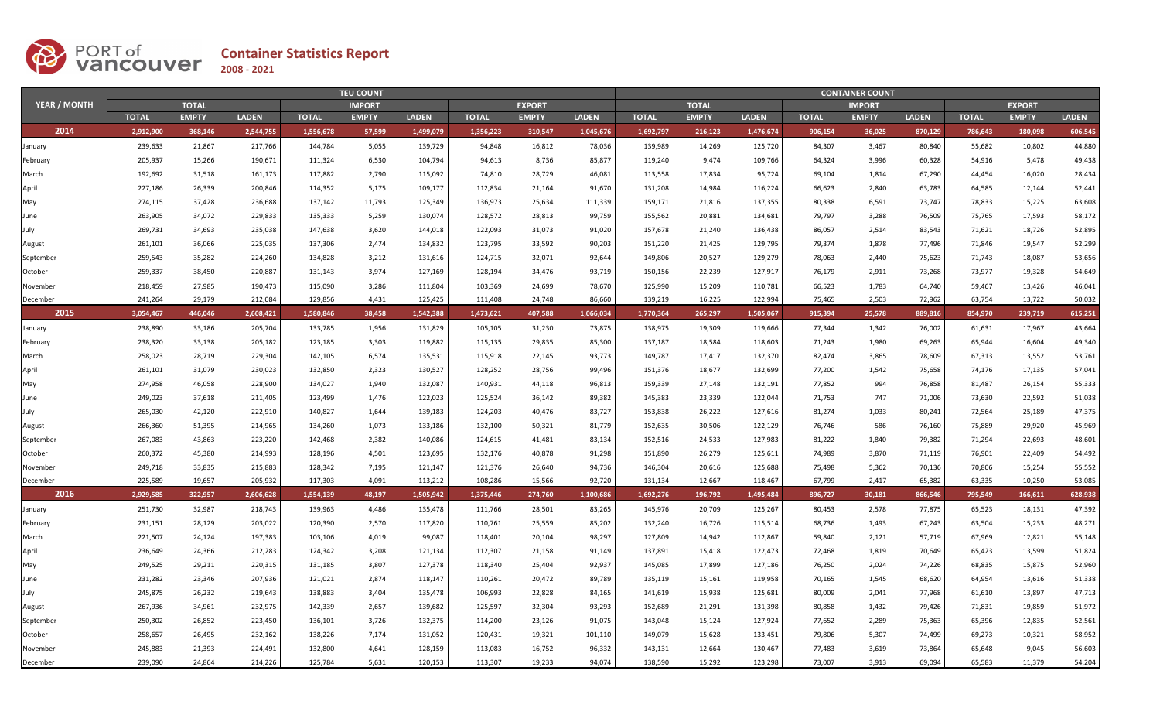

|                     |              | <b>TEU COUNT</b> |              |              |               |              |              |               |              |              |              | <b>CONTAINER COUNT</b> |              |               |              |              |               |              |  |  |  |
|---------------------|--------------|------------------|--------------|--------------|---------------|--------------|--------------|---------------|--------------|--------------|--------------|------------------------|--------------|---------------|--------------|--------------|---------------|--------------|--|--|--|
| <b>YEAR / MONTH</b> |              | <b>TOTAL</b>     |              |              | <b>IMPORT</b> |              |              | <b>EXPORT</b> |              |              | <b>TOTAL</b> |                        |              | <b>IMPORT</b> |              |              | <b>EXPORT</b> |              |  |  |  |
|                     | <b>TOTAL</b> | <b>EMPTY</b>     | <b>LADEN</b> | <b>TOTAL</b> | <b>EMPTY</b>  | <b>LADEN</b> | <b>TOTAL</b> | <b>EMPTY</b>  | <b>LADEN</b> | <b>TOTAL</b> | <b>EMPTY</b> | <b>LADEN</b>           | <b>TOTAL</b> | <b>EMPTY</b>  | <b>LADEN</b> | <b>TOTAL</b> | <b>EMPTY</b>  | <b>LADEN</b> |  |  |  |
| 2014                | 2,912,900    | 368,146          | 2,544,755    | 1,556,678    | 57,599        | 1,499,079    | 1,356,223    | 310,547       | 1,045,676    | 1,692,797    | 216,123      | 1,476,674              | 906,154      | 36,025        | 870,129      | 786,643      | 180,098       | 606,545      |  |  |  |
| January             | 239,633      | 21,867           | 217,766      | 144,784      | 5,055         | 139,729      | 94,848       | 16,812        | 78,036       | 139,989      | 14,269       | 125,720                | 84,307       | 3,467         | 80,840       | 55,682       | 10,802        | 44,880       |  |  |  |
| February            | 205,937      | 15,266           | 190,671      | 111,324      | 6,530         | 104,794      | 94,613       | 8,736         | 85,877       | 119,240      | 9,474        | 109,766                | 64,324       | 3,996         | 60,328       | 54,916       | 5,478         | 49,438       |  |  |  |
| March               | 192,692      | 31,518           | 161,173      | 117,882      | 2,790         | 115,092      | 74,810       | 28,729        | 46,081       | 113,558      | 17,834       | 95,724                 | 69,104       | 1,814         | 67,290       | 44,454       | 16,020        | 28,434       |  |  |  |
| April               | 227,186      | 26,339           | 200,846      | 114,352      | 5,175         | 109,177      | 112,834      | 21,164        | 91,670       | 131,208      | 14,984       | 116,224                | 66,623       | 2,840         | 63,783       | 64,585       | 12,144        | 52,441       |  |  |  |
| May                 | 274,115      | 37,428           | 236,688      | 137,142      | 11,793        | 125,349      | 136,973      | 25,634        | 111,339      | 159,171      | 21,816       | 137,355                | 80,338       | 6,591         | 73,747       | 78,833       | 15,225        | 63,608       |  |  |  |
| June                | 263,905      | 34,072           | 229,833      | 135,333      | 5,259         | 130,074      | 128,572      | 28,813        | 99,759       | 155,562      | 20,881       | 134,681                | 79,797       | 3,288         | 76,509       | 75,765       | 17,593        | 58,172       |  |  |  |
| July                | 269,731      | 34,693           | 235,038      | 147,638      | 3,620         | 144,018      | 122,093      | 31,073        | 91,020       | 157,678      | 21,240       | 136,438                | 86,057       | 2,514         | 83,543       | 71,621       | 18,726        | 52,895       |  |  |  |
| August              | 261,101      | 36,066           | 225,035      | 137,306      | 2,474         | 134,832      | 123,795      | 33,592        | 90,203       | 151,220      | 21,425       | 129,795                | 79,374       | 1,878         | 77,496       | 71,846       | 19,547        | 52,299       |  |  |  |
| September           | 259,543      | 35,282           | 224,260      | 134,828      | 3,212         | 131,616      | 124,715      | 32,071        | 92,644       | 149,806      | 20,527       | 129,279                | 78,063       | 2,440         | 75,623       | 71,743       | 18,087        | 53,656       |  |  |  |
| October             | 259,337      | 38,450           | 220,887      | 131,143      | 3,974         | 127,169      | 128,194      | 34,476        | 93,719       | 150,156      | 22,239       | 127,917                | 76,179       | 2,911         | 73,268       | 73,977       | 19,328        | 54,649       |  |  |  |
| November            | 218,459      | 27,985           | 190,473      | 115,090      | 3,286         | 111,804      | 103,369      | 24,699        | 78,670       | 125,990      | 15,209       | 110,781                | 66,523       | 1,783         | 64,740       | 59,467       | 13,426        | 46,041       |  |  |  |
| December            | 241,264      | 29,179           | 212,084      | 129,856      | 4,431         | 125,425      | 111,408      | 24,748        | 86,660       | 139,219      | 16,225       | 122,994                | 75,465       | 2,503         | 72,962       | 63,754       | 13,722        | 50,032       |  |  |  |
| 2015                | 3,054,467    | 446.046          | 2.608.421    | 1.580.846    | 38.458        | 1.542.388    | 1,473,621    | 407,588       | 1.066.034    | 1,770,364    | 265,297      | 1,505,067              | 915.394      | 25,578        | 889.816      | 854,970      | 239,719       | 615,251      |  |  |  |
| January             | 238,890      | 33,186           | 205,704      | 133,785      | 1,956         | 131,829      | 105,105      | 31,230        | 73,875       | 138,975      | 19,309       | 119,666                | 77,344       | 1,342         | 76,002       | 61,631       | 17,967        | 43,664       |  |  |  |
| February            | 238,320      | 33,138           | 205,182      | 123,185      | 3,303         | 119,882      | 115,135      | 29,835        | 85,300       | 137,187      | 18,584       | 118,603                | 71,243       | 1,980         | 69,263       | 65,944       | 16,604        | 49,340       |  |  |  |
| March               | 258,023      | 28,719           | 229,304      | 142,105      | 6,574         | 135,531      | 115,918      | 22,145        | 93,773       | 149,787      | 17,417       | 132,370                | 82,474       | 3,865         | 78,609       | 67,313       | 13,552        | 53,761       |  |  |  |
| April               | 261,101      | 31,079           | 230,023      | 132,850      | 2,323         | 130,527      | 128,252      | 28,756        | 99,496       | 151,376      | 18,677       | 132,699                | 77,200       | 1,542         | 75,658       | 74,176       | 17,135        | 57,041       |  |  |  |
| May                 | 274,958      | 46,058           | 228,900      | 134,027      | 1,940         | 132,087      | 140,931      | 44,118        | 96,813       | 159,339      | 27,148       | 132,191                | 77,852       | 994           | 76,858       | 81,487       | 26,154        | 55,333       |  |  |  |
| June                | 249,023      | 37,618           | 211,405      | 123,499      | 1,476         | 122,023      | 125,524      | 36,142        | 89,382       | 145,383      | 23,339       | 122,044                | 71,753       | 747           | 71,006       | 73,630       | 22,592        | 51,038       |  |  |  |
| July                | 265,030      | 42,120           | 222,910      | 140,827      | 1,644         | 139,183      | 124,203      | 40,476        | 83,727       | 153,838      | 26,222       | 127,616                | 81,274       | 1,033         | 80,241       | 72,564       | 25,189        | 47,375       |  |  |  |
| August              | 266,360      | 51,395           | 214,965      | 134,260      | 1,073         | 133,186      | 132,100      | 50,321        | 81,779       | 152,635      | 30,506       | 122,129                | 76,746       | 586           | 76,160       | 75,889       | 29,920        | 45,969       |  |  |  |
| September           | 267,083      | 43,863           | 223,220      | 142,468      | 2,382         | 140,086      | 124,615      | 41,481        | 83,134       | 152,516      | 24,533       | 127,983                | 81,222       | 1,840         | 79,382       | 71,294       | 22,693        | 48,601       |  |  |  |
| October             | 260,372      | 45,380           | 214,993      | 128,196      | 4,501         | 123,695      | 132,176      | 40,878        | 91,298       | 151,890      | 26,279       | 125,611                | 74,989       | 3,870         | 71,119       | 76,901       | 22,409        | 54,492       |  |  |  |
| November            | 249,718      | 33,835           | 215,883      | 128,342      | 7,195         | 121,147      | 121,376      | 26,640        | 94,736       | 146,304      | 20,616       | 125,688                | 75,498       | 5,362         | 70,136       | 70,806       | 15,254        | 55,552       |  |  |  |
| December            | 225,589      | 19,657           | 205,932      | 117,303      | 4,091         | 113,212      | 108,286      | 15,566        | 92,720       | 131,134      | 12,667       | 118,467                | 67,799       | 2,417         | 65,382       | 63,335       | 10,250        | 53,085       |  |  |  |
| 2016                | 2,929,585    | 322,957          | 2,606,628    | 1,554,139    | 48,197        | 1,505,942    | 1,375,446    | 274,760       | 1,100,686    | 1,692,276    | 196,792      | 1,495,484              | 896,727      | 30,181        | 866,546      | 795,549      | 166,611       | 628,938      |  |  |  |
| January             | 251,730      | 32,987           | 218,743      | 139,963      | 4,486         | 135,478      | 111,766      | 28,501        | 83,265       | 145,976      | 20,709       | 125,267                | 80,453       | 2,578         | 77,875       | 65,523       | 18,131        | 47,392       |  |  |  |
| February            | 231,151      | 28,129           | 203,022      | 120,390      | 2,570         | 117,820      | 110,761      | 25,559        | 85,202       | 132,240      | 16,726       | 115,514                | 68,736       | 1,493         | 67,243       | 63,504       | 15,233        | 48,271       |  |  |  |
| March               | 221,507      | 24,124           | 197,383      | 103,106      | 4,019         | 99,087       | 118,401      | 20,104        | 98,297       | 127,809      | 14,942       | 112,867                | 59,840       | 2,121         | 57,719       | 67,969       | 12,821        | 55,148       |  |  |  |
| April               | 236,649      | 24,366           | 212,283      | 124,342      | 3,208         | 121,134      | 112,307      | 21,158        | 91,149       | 137,891      | 15,418       | 122,473                | 72,468       | 1,819         | 70,649       | 65,423       | 13,599        | 51,824       |  |  |  |
| May                 | 249,525      | 29,211           | 220,315      | 131,185      | 3,807         | 127,378      | 118,340      | 25,404        | 92,937       | 145,085      | 17,899       | 127,186                | 76,250       | 2,024         | 74,226       | 68,835       | 15,875        | 52,960       |  |  |  |
| June                | 231,282      | 23,346           | 207,936      | 121,021      | 2,874         | 118,147      | 110,261      | 20,472        | 89,789       | 135,119      | 15,161       | 119,958                | 70,165       | 1,545         | 68,620       | 64,954       | 13,616        | 51,338       |  |  |  |
| July                | 245,875      | 26,232           | 219,643      | 138,883      | 3,404         | 135,478      | 106,993      | 22,828        | 84,165       | 141,619      | 15,938       | 125,681                | 80,009       | 2,041         | 77,968       | 61,610       | 13,897        | 47,713       |  |  |  |
| August              | 267,936      | 34,961           | 232,975      | 142,339      | 2,657         | 139,682      | 125,597      | 32,304        | 93,293       | 152,689      | 21,291       | 131,398                | 80,858       | 1,432         | 79,426       | 71,831       | 19,859        | 51,972       |  |  |  |
| September           | 250,302      | 26,852           | 223,450      | 136,101      | 3,726         | 132,375      | 114,200      | 23,126        | 91,075       | 143,048      | 15,124       | 127,924                | 77,652       | 2,289         | 75,363       | 65,396       | 12,835        | 52,561       |  |  |  |
| October             | 258,657      | 26,495           | 232,162      | 138,226      | 7,174         | 131,052      | 120,431      | 19,321        | 101,110      | 149,079      | 15,628       | 133,451                | 79,806       | 5,307         | 74,499       | 69,273       | 10,321        | 58,952       |  |  |  |
| November            | 245,883      | 21,393           | 224,491      | 132,800      | 4,641         | 128,159      | 113,083      | 16,752        | 96,332       | 143,131      | 12,664       | 130,467                | 77,483       | 3,619         | 73,864       | 65,648       | 9,045         | 56,603       |  |  |  |
| December            | 239,090      | 24,864           | 214,226      | 125,784      | 5,631         | 120,153      | 113,307      | 19,233        | 94,074       | 138,590      | 15,292       | 123,298                | 73,007       | 3,913         | 69,094       | 65,583       | 11,379        | 54,204       |  |  |  |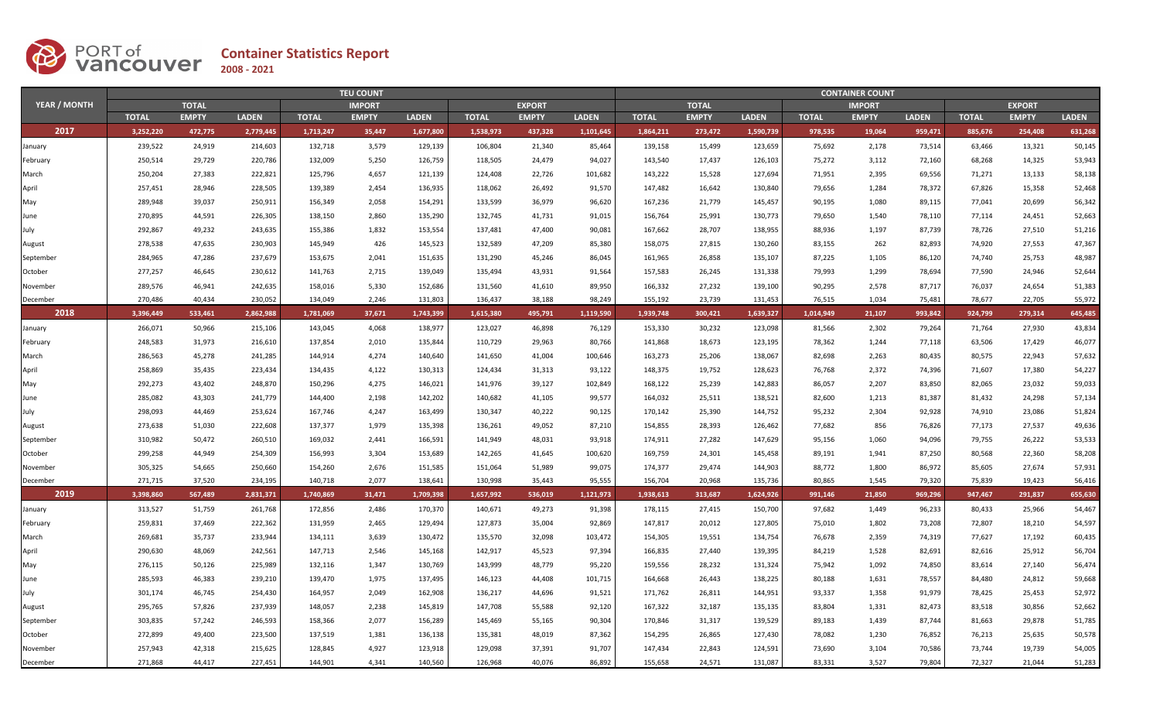

|                     |              | <b>TEU COUNT</b> |              |              |               |              |              |               |              |              |              | <b>CONTAINER COUNT</b> |              |               |              |               |              |              |  |  |  |
|---------------------|--------------|------------------|--------------|--------------|---------------|--------------|--------------|---------------|--------------|--------------|--------------|------------------------|--------------|---------------|--------------|---------------|--------------|--------------|--|--|--|
| <b>YEAR / MONTH</b> |              | <b>TOTAL</b>     |              |              | <b>IMPORT</b> |              |              | <b>EXPORT</b> |              |              | <b>TOTAL</b> |                        |              | <b>IMPORT</b> |              | <b>EXPORT</b> |              |              |  |  |  |
|                     | <b>TOTAL</b> | <b>EMPTY</b>     | <b>LADEN</b> | <b>TOTAL</b> | <b>EMPTY</b>  | <b>LADEN</b> | <b>TOTAL</b> | <b>EMPTY</b>  | <b>LADEN</b> | <b>TOTAL</b> | <b>EMPTY</b> | <b>LADEN</b>           | <b>TOTAL</b> | <b>EMPTY</b>  | <b>LADEN</b> | <b>TOTAL</b>  | <b>EMPTY</b> | <b>LADEN</b> |  |  |  |
| 2017                | 3,252,220    | 472,775          | 2,779,445    | 1,713,247    | 35,447        | 1,677,800    | 1,538,973    | 437,328       | 1,101,645    | 1,864,211    | 273,472      | 1,590,739              | 978,535      | 19,064        | 959,471      | 885,676       | 254,408      | 631,268      |  |  |  |
| January             | 239,522      | 24,919           | 214,603      | 132,718      | 3,579         | 129,139      | 106,804      | 21,340        | 85,464       | 139,158      | 15,499       | 123,659                | 75,692       | 2,178         | 73,514       | 63,466        | 13,321       | 50,145       |  |  |  |
| February            | 250,514      | 29,729           | 220,786      | 132,009      | 5,250         | 126,759      | 118,505      | 24,479        | 94,027       | 143,540      | 17,437       | 126,103                | 75,272       | 3,112         | 72,160       | 68,268        | 14,325       | 53,943       |  |  |  |
| March               | 250,204      | 27,383           | 222,821      | 125,796      | 4,657         | 121,139      | 124,408      | 22,726        | 101,682      | 143,222      | 15,528       | 127,694                | 71,951       | 2,395         | 69,556       | 71,271        | 13,133       | 58,138       |  |  |  |
| April               | 257,451      | 28,946           | 228,505      | 139,389      | 2,454         | 136,935      | 118,062      | 26,492        | 91,570       | 147,482      | 16,642       | 130,840                | 79,656       | 1,284         | 78,372       | 67,826        | 15,358       | 52,468       |  |  |  |
| May                 | 289,948      | 39,037           | 250,911      | 156,349      | 2,058         | 154,291      | 133,599      | 36,979        | 96,620       | 167,236      | 21,779       | 145,457                | 90,195       | 1,080         | 89,115       | 77,041        | 20,699       | 56,342       |  |  |  |
| June                | 270,895      | 44,591           | 226,305      | 138,150      | 2,860         | 135,290      | 132,745      | 41,731        | 91,015       | 156,764      | 25,991       | 130,773                | 79,650       | 1,540         | 78,110       | 77,114        | 24,451       | 52,663       |  |  |  |
| July                | 292,867      | 49,232           | 243,635      | 155,386      | 1,832         | 153,554      | 137,481      | 47,400        | 90,081       | 167,662      | 28,707       | 138,955                | 88,936       | 1,197         | 87,739       | 78,726        | 27,510       | 51,216       |  |  |  |
| August              | 278,538      | 47,635           | 230,903      | 145,949      | 426           | 145,523      | 132,589      | 47,209        | 85,380       | 158,075      | 27,815       | 130,260                | 83,155       | 262           | 82,893       | 74,920        | 27,553       | 47,367       |  |  |  |
| September           | 284,965      | 47,286           | 237,679      | 153,675      | 2,041         | 151,635      | 131,290      | 45,246        | 86,045       | 161,965      | 26,858       | 135,107                | 87,225       | 1,105         | 86,120       | 74,740        | 25,753       | 48,987       |  |  |  |
| October             | 277,257      | 46,645           | 230,612      | 141,763      | 2,715         | 139,049      | 135,494      | 43,931        | 91,564       | 157,583      | 26,245       | 131,338                | 79,993       | 1,299         | 78,694       | 77,590        | 24,946       | 52,644       |  |  |  |
| November            | 289,576      | 46,941           | 242,635      | 158,016      | 5,330         | 152,686      | 131,560      | 41,610        | 89,950       | 166,332      | 27,232       | 139,100                | 90,295       | 2,578         | 87,717       | 76,037        | 24,654       | 51,383       |  |  |  |
| December            | 270,486      | 40,434           | 230,052      | 134,049      | 2,246         | 131,803      | 136,437      | 38,188        | 98,249       | 155,192      | 23,739       | 131,453                | 76,515       | 1,034         | 75,481       | 78,677        | 22,705       | 55,972       |  |  |  |
| 2018                | 3,396,449    | 533,461          | 2,862,988    | 1,781,069    | 37,671        | 1,743,399    | 1,615,380    | 495,791       | 1,119,590    | 1,939,748    | 300,421      | 1,639,327              | 1,014,949    | 21,107        | 993,842      | 924,799       | 279,314      | 645,485      |  |  |  |
| January             | 266,071      | 50,966           | 215,106      | 143,045      | 4,068         | 138,977      | 123,027      | 46,898        | 76,129       | 153,330      | 30,232       | 123,098                | 81,566       | 2,302         | 79,264       | 71,764        | 27,930       | 43,834       |  |  |  |
| February            | 248,583      | 31,973           | 216,610      | 137,854      | 2,010         | 135,844      | 110,729      | 29,963        | 80,766       | 141,868      | 18,673       | 123,195                | 78,362       | 1,244         | 77,118       | 63,506        | 17,429       | 46,077       |  |  |  |
| March               | 286,563      | 45,278           | 241,285      | 144,914      | 4,274         | 140,640      | 141,650      | 41,004        | 100,646      | 163,273      | 25,206       | 138,067                | 82,698       | 2,263         | 80,435       | 80,575        | 22,943       | 57,632       |  |  |  |
| April               | 258,869      | 35,435           | 223,434      | 134,435      | 4,122         | 130,313      | 124,434      | 31,313        | 93,122       | 148,375      | 19,752       | 128,623                | 76,768       | 2,372         | 74,396       | 71,607        | 17,380       | 54,227       |  |  |  |
| May                 | 292,273      | 43,402           | 248,870      | 150,296      | 4,275         | 146,021      | 141,976      | 39,127        | 102,849      | 168,122      | 25,239       | 142,883                | 86,057       | 2,207         | 83,850       | 82,065        | 23,032       | 59,033       |  |  |  |
| June                | 285,082      | 43,303           | 241,779      | 144,400      | 2,198         | 142,202      | 140,682      | 41,105        | 99,577       | 164,032      | 25,511       | 138,521                | 82,600       | 1,213         | 81,387       | 81,432        | 24,298       | 57,134       |  |  |  |
| July                | 298,093      | 44,469           | 253,624      | 167,746      | 4,247         | 163,499      | 130,347      | 40,222        | 90,125       | 170,142      | 25,390       | 144,752                | 95,232       | 2,304         | 92,928       | 74,910        | 23,086       | 51,824       |  |  |  |
| August              | 273,638      | 51,030           | 222,608      | 137,377      | 1,979         | 135,398      | 136,261      | 49,052        | 87,210       | 154,855      | 28,393       | 126,462                | 77,682       | 856           | 76,826       | 77,173        | 27,537       | 49,636       |  |  |  |
| September           | 310,982      | 50,472           | 260,510      | 169,032      | 2,441         | 166,591      | 141,949      | 48,031        | 93,918       | 174,911      | 27,282       | 147,629                | 95,156       | 1,060         | 94,096       | 79,755        | 26,222       | 53,533       |  |  |  |
| October             | 299,258      | 44,949           | 254,309      | 156,993      | 3,304         | 153,689      | 142,265      | 41,645        | 100,620      | 169,759      | 24,301       | 145,458                | 89,191       | 1,941         | 87,250       | 80,568        | 22,360       | 58,208       |  |  |  |
| November            | 305,325      | 54,665           | 250,660      | 154,260      | 2,676         | 151,585      | 151,064      | 51.989        | 99,075       | 174.377      | 29,474       | 144,903                | 88,772       | 1,800         | 86,972       | 85,605        | 27,674       | 57,931       |  |  |  |
| December            | 271,715      | 37,520           | 234,195      | 140,718      | 2,077         | 138,641      | 130,998      | 35,443        | 95,555       | 156,704      | 20,968       | 135,736                | 80,865       | 1,545         | 79,320       | 75,839        | 19,423       | 56,416       |  |  |  |
| 2019                | 3,398,860    | 567,489          | 2,831,371    | 1,740,869    | 31,471        | 1,709,398    | 1,657,992    | 536,019       | 1,121,973    | 1,938,613    | 313,687      | 1,624,926              | 991,146      | 21.850        | 969,296      | 947,467       | 291,837      | 655,630      |  |  |  |
| January             | 313,527      | 51,759           | 261,768      | 172,856      | 2,486         | 170,370      | 140,671      | 49,273        | 91,398       | 178,115      | 27,415       | 150,700                | 97,682       | 1,449         | 96,233       | 80,433        | 25,966       | 54,467       |  |  |  |
| February            | 259,831      | 37,469           | 222,362      | 131,959      | 2,465         | 129,494      | 127,873      | 35,004        | 92,869       | 147,817      | 20,012       | 127,805                | 75,010       | 1,802         | 73,208       | 72,807        | 18,210       | 54,597       |  |  |  |
| March               | 269,681      | 35,737           | 233,944      | 134,111      | 3,639         | 130,472      | 135,570      | 32,098        | 103,472      | 154,305      | 19,551       | 134,754                | 76,678       | 2,359         | 74,319       | 77,627        | 17,192       | 60,435       |  |  |  |
| April               | 290,630      | 48,069           | 242,561      | 147,713      | 2,546         | 145,168      | 142,917      | 45,523        | 97,394       | 166,835      | 27,440       | 139,395                | 84,219       | 1,528         | 82,691       | 82,616        | 25,912       | 56,704       |  |  |  |
| May                 | 276,115      | 50,126           | 225,989      | 132,116      | 1,347         | 130,769      | 143,999      | 48,779        | 95,220       | 159,556      | 28,232       | 131,324                | 75,942       | 1,092         | 74,850       | 83,614        | 27,140       | 56,474       |  |  |  |
| June                | 285,593      | 46,383           | 239,210      | 139,470      | 1,975         | 137,495      | 146,123      | 44,408        | 101,715      | 164,668      | 26,443       | 138,225                | 80,188       | 1,631         | 78,557       | 84,480        | 24,812       | 59,668       |  |  |  |
| July                | 301,174      | 46,745           | 254,430      | 164,957      | 2,049         | 162,908      | 136,217      | 44,696        | 91,521       | 171,762      | 26,811       | 144,951                | 93,337       | 1,358         | 91,979       | 78,425        | 25,453       | 52,972       |  |  |  |
| August              | 295,765      | 57,826           | 237,939      | 148,057      | 2,238         | 145,819      | 147,708      | 55,588        | 92,120       | 167,322      | 32,187       | 135,135                | 83,804       | 1,331         | 82,473       | 83,518        | 30,856       | 52,662       |  |  |  |
| September           | 303,835      | 57,242           | 246,593      | 158,366      | 2,077         | 156,289      | 145,469      | 55,165        | 90,304       | 170,846      | 31,317       | 139,529                | 89,183       | 1,439         | 87,744       | 81,663        | 29,878       | 51,785       |  |  |  |
| October             | 272,899      | 49,400           | 223,500      | 137,519      | 1,381         | 136,138      | 135,381      | 48,019        | 87,362       | 154,295      | 26,865       | 127,430                | 78,082       | 1,230         | 76,852       | 76,213        | 25,635       | 50,578       |  |  |  |
| November            | 257,943      | 42,318           | 215,625      | 128,845      | 4,927         | 123,918      | 129,098      | 37,391        | 91,707       | 147,434      | 22,843       | 124,591                | 73,690       | 3,104         | 70,586       | 73,744        | 19,739       | 54,005       |  |  |  |
| December            | 271,868      | 44,417           | 227,451      | 144,901      | 4,341         | 140,560      | 126,968      | 40,076        | 86,892       | 155,658      | 24,571       | 131,087                | 83,331       | 3,527         | 79,804       | 72,327        | 21,044       | 51,283       |  |  |  |